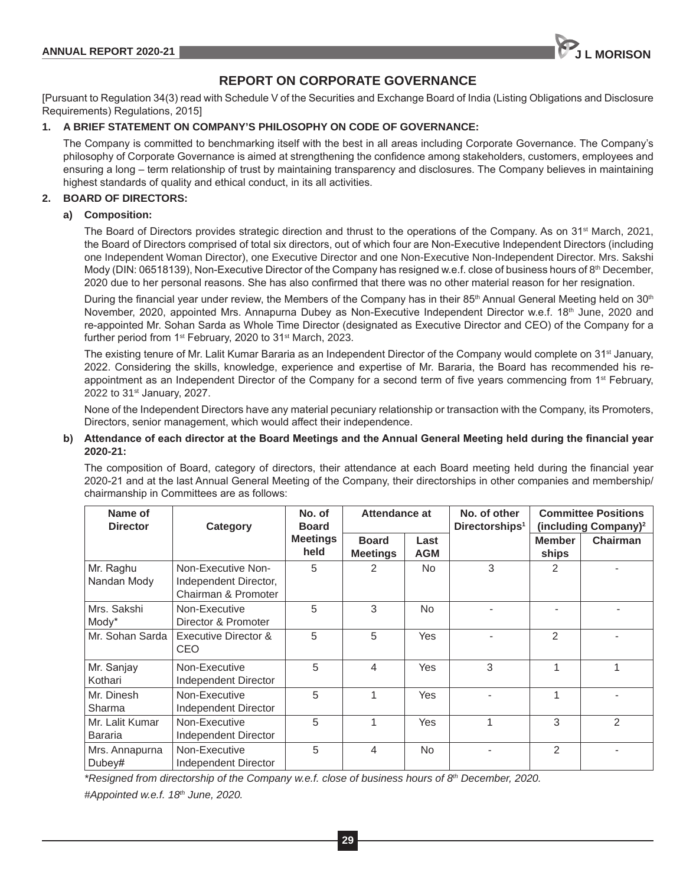

# **REPORT ON CORPORATE GOVERNANCE**

[Pursuant to Regulation 34(3) read with Schedule V of the Securities and Exchange Board of India (Listing Obligations and Disclosure Requirements) Regulations, 2015]

# **1. A BRIEF STATEMENT ON COMPANY'S PHILOSOPHY ON CODE OF GOVERNANCE:**

The Company is committed to benchmarking itself with the best in all areas including Corporate Governance. The Company's philosophy of Corporate Governance is aimed at strengthening the confidence among stakeholders, customers, employees and ensuring a long – term relationship of trust by maintaining transparency and disclosures. The Company believes in maintaining highest standards of quality and ethical conduct, in its all activities.

# **2. BOARD OF DIRECTORS:**

# **a) Composition:**

The Board of Directors provides strategic direction and thrust to the operations of the Company. As on 31<sup>st</sup> March, 2021, the Board of Directors comprised of total six directors, out of which four are Non-Executive Independent Directors (including one Independent Woman Director), one Executive Director and one Non-Executive Non-Independent Director. Mrs. Sakshi Mody (DIN: 06518139), Non-Executive Director of the Company has resigned w.e.f. close of business hours of 8<sup>th</sup> December, 2020 due to her personal reasons. She has also confirmed that there was no other material reason for her resignation.

During the financial year under review, the Members of the Company has in their 85<sup>th</sup> Annual General Meeting held on 30<sup>th</sup> November, 2020, appointed Mrs. Annapurna Dubey as Non-Executive Independent Director w.e.f. 18<sup>th</sup> June, 2020 and re-appointed Mr. Sohan Sarda as Whole Time Director (designated as Executive Director and CEO) of the Company for a further period from 1<sup>st</sup> February, 2020 to 31<sup>st</sup> March, 2023.

The existing tenure of Mr. Lalit Kumar Bararia as an Independent Director of the Company would complete on 31<sup>st</sup> January, 2022. Considering the skills, knowledge, experience and expertise of Mr. Bararia, the Board has recommended his reappointment as an Independent Director of the Company for a second term of five years commencing from 1<sup>st</sup> February, 2022 to 31<sup>st</sup> January, 2027.

None of the Independent Directors have any material pecuniary relationship or transaction with the Company, its Promoters, Directors, senior management, which would affect their independence.

# **b) Attendance of each director at the Board Meetings and the Annual General Meeting held during the financial year 2020-21:**

The composition of Board, category of directors, their attendance at each Board meeting held during the financial year 2020-21 and at the last Annual General Meeting of the Company, their directorships in other companies and membership/ chairmanship in Committees are as follows:

| Name of<br><b>Director</b> | Category                                                           | No. of<br><b>Board</b>  | Attendance at                   |                    | No. of other<br>Directorships <sup>1</sup> | <b>Committee Positions</b><br>(including Company) <sup>2</sup> |                |
|----------------------------|--------------------------------------------------------------------|-------------------------|---------------------------------|--------------------|--------------------------------------------|----------------------------------------------------------------|----------------|
|                            |                                                                    | <b>Meetings</b><br>held | <b>Board</b><br><b>Meetings</b> | Last<br><b>AGM</b> |                                            | <b>Member</b><br>ships                                         | Chairman       |
| Mr. Raghu<br>Nandan Mody   | Non-Executive Non-<br>Independent Director,<br>Chairman & Promoter | 5                       | 2                               | No.                | 3                                          | 2                                                              |                |
| Mrs. Sakshi<br>Mody*       | Non-Executive<br>Director & Promoter                               | 5                       | 3                               | <b>No</b>          |                                            |                                                                |                |
| Mr. Sohan Sarda            | Executive Director &<br>CEO                                        | 5                       | 5                               | <b>Yes</b>         |                                            | 2                                                              |                |
| Mr. Sanjay<br>Kothari      | Non-Executive<br>Independent Director                              | 5                       | 4                               | <b>Yes</b>         | 3                                          | 1                                                              |                |
| Mr. Dinesh<br>Sharma       | Non-Executive<br>Independent Director                              | 5                       |                                 | Yes                |                                            | 1                                                              |                |
| Mr. Lalit Kumar<br>Bararia | Non-Executive<br>Independent Director                              | 5                       |                                 | <b>Yes</b>         |                                            | 3                                                              | $\overline{2}$ |
| Mrs. Annapurna<br>Dubey#   | Non-Executive<br>Independent Director                              | 5                       | 4                               | <b>No</b>          |                                            | 2                                                              |                |

*\*Resigned from directorship of the Company w.e.f. close of business hours of 8th December, 2020.*

*#Appointed w.e.f. 18th June, 2020.*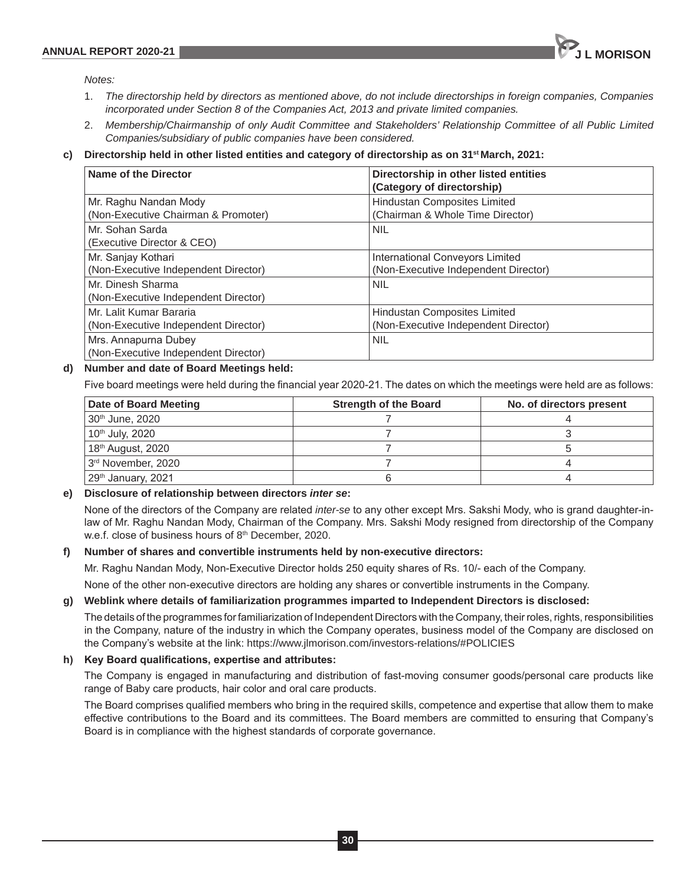

*Notes:*

- 1. *The directorship held by directors as mentioned above, do not include directorships in foreign companies, Companies incorporated under Section 8 of the Companies Act, 2013 and private limited companies.*
- 2. *Membership/Chairmanship of only Audit Committee and Stakeholders' Relationship Committee of all Public Limited Companies/subsidiary of public companies have been considered.*
- **c) Directorship held in other listed entities and category of directorship as on 31st March, 2021:**

| Name of the Director                                            | Directorship in other listed entities<br>(Category of directorship)     |
|-----------------------------------------------------------------|-------------------------------------------------------------------------|
| Mr. Raghu Nandan Mody<br>(Non-Executive Chairman & Promoter)    | <b>Hindustan Composites Limited</b><br>(Chairman & Whole Time Director) |
| Mr. Sohan Sarda<br>(Executive Director & CEO)                   | <b>NIL</b>                                                              |
| Mr. Sanjay Kothari<br>(Non-Executive Independent Director)      | International Conveyors Limited<br>(Non-Executive Independent Director) |
| Mr. Dinesh Sharma<br>(Non-Executive Independent Director)       | <b>NIL</b>                                                              |
| Mr. Lalit Kumar Bararia<br>(Non-Executive Independent Director) | Hindustan Composites Limited<br>(Non-Executive Independent Director)    |
| Mrs. Annapurna Dubey<br>(Non-Executive Independent Director)    | <b>NIL</b>                                                              |

# **d) Number and date of Board Meetings held:**

Five board meetings were held during the financial year 2020-21. The dates on which the meetings were held are as follows:

| Date of Board Meeting          | <b>Strength of the Board</b> | No. of directors present |
|--------------------------------|------------------------------|--------------------------|
| 30th June, 2020                |                              |                          |
| 10 <sup>th</sup> July, 2020    |                              |                          |
| 18 <sup>th</sup> August, 2020  |                              |                          |
| 3rd November, 2020             |                              |                          |
| 29 <sup>th</sup> January, 2021 |                              |                          |

# **e) Disclosure of relationship between directors** *inter se***:**

None of the directors of the Company are related *inter-se* to any other except Mrs. Sakshi Mody, who is grand daughter-inlaw of Mr. Raghu Nandan Mody, Chairman of the Company. Mrs. Sakshi Mody resigned from directorship of the Company w.e.f. close of business hours of 8th December, 2020.

# **f) Number of shares and convertible instruments held by non-executive directors:**

Mr. Raghu Nandan Mody, Non-Executive Director holds 250 equity shares of Rs. 10/- each of the Company.

None of the other non-executive directors are holding any shares or convertible instruments in the Company.

# **g) Weblink where details of familiarization programmes imparted to Independent Directors is disclosed:**

The details of the programmes for familiarization of Independent Directors with the Company, their roles, rights, responsibilities in the Company, nature of the industry in which the Company operates, business model of the Company are disclosed on the Company's website at the link: https://www.jlmorison.com/investors-relations/#POLICIES

# **h) Key Board qualifications, expertise and attributes:**

The Company is engaged in manufacturing and distribution of fast-moving consumer goods/personal care products like range of Baby care products, hair color and oral care products.

The Board comprises qualified members who bring in the required skills, competence and expertise that allow them to make effective contributions to the Board and its committees. The Board members are committed to ensuring that Company's Board is in compliance with the highest standards of corporate governance.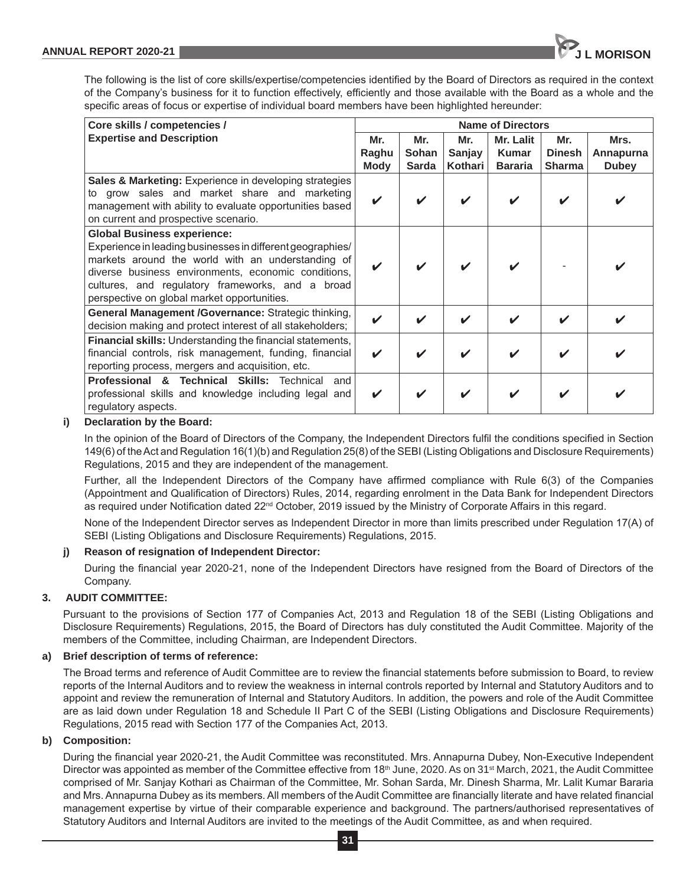The following is the list of core skills/expertise/competencies identified by the Board of Directors as required in the context of the Company's business for it to function effectively, efficiently and those available with the Board as a whole and the specific areas of focus or expertise of individual board members have been highlighted hereunder:

| Core skills / competencies /                                                                                                                                                                                                                                                                                    | <b>Name of Directors</b> |                              |                          |                                             |                                       |                                   |
|-----------------------------------------------------------------------------------------------------------------------------------------------------------------------------------------------------------------------------------------------------------------------------------------------------------------|--------------------------|------------------------------|--------------------------|---------------------------------------------|---------------------------------------|-----------------------------------|
| <b>Expertise and Description</b>                                                                                                                                                                                                                                                                                | Mr.<br>Raghu<br>Mody     | Mr.<br>Sohan<br><b>Sarda</b> | Mr.<br>Sanjay<br>Kothari | Mr. Lalit<br><b>Kumar</b><br><b>Bararia</b> | Mr.<br><b>Dinesh</b><br><b>Sharma</b> | Mrs.<br>Annapurna<br><b>Dubey</b> |
| <b>Sales &amp; Marketing:</b> Experience in developing strategies<br>to grow sales and market share and marketing<br>management with ability to evaluate opportunities based<br>on current and prospective scenario.                                                                                            | V                        |                              |                          |                                             |                                       |                                   |
| <b>Global Business experience:</b><br>Experience in leading businesses in different geographies/<br>markets around the world with an understanding of<br>diverse business environments, economic conditions,<br>cultures, and regulatory frameworks, and a broad<br>perspective on global market opportunities. |                          |                              |                          |                                             |                                       |                                   |
| General Management /Governance: Strategic thinking,<br>decision making and protect interest of all stakeholders;                                                                                                                                                                                                | V                        |                              |                          |                                             |                                       |                                   |
| <b>Financial skills:</b> Understanding the financial statements,<br>financial controls, risk management, funding, financial<br>reporting process, mergers and acquisition, etc.                                                                                                                                 | V                        | ✓                            |                          |                                             |                                       |                                   |
| <b>Professional &amp; Technical Skills:</b> Technical<br>and<br>professional skills and knowledge including legal and<br>regulatory aspects.                                                                                                                                                                    | V                        | ✔                            |                          |                                             |                                       |                                   |

# **i) Declaration by the Board:**

In the opinion of the Board of Directors of the Company, the Independent Directors fulfil the conditions specified in Section 149(6) of the Act and Regulation 16(1)(b) and Regulation 25(8) of the SEBI (Listing Obligations and Disclosure Requirements) Regulations, 2015 and they are independent of the management.

Further, all the Independent Directors of the Company have affirmed compliance with Rule 6(3) of the Companies (Appointment and Qualification of Directors) Rules, 2014, regarding enrolment in the Data Bank for Independent Directors as required under Notification dated 22<sup>nd</sup> October, 2019 issued by the Ministry of Corporate Affairs in this regard.

None of the Independent Director serves as Independent Director in more than limits prescribed under Regulation 17(A) of SEBI (Listing Obligations and Disclosure Requirements) Regulations, 2015.

# **j) Reason of resignation of Independent Director:**

During the financial year 2020-21, none of the Independent Directors have resigned from the Board of Directors of the Company.

# **3. AUDIT COMMITTEE:**

Pursuant to the provisions of Section 177 of Companies Act, 2013 and Regulation 18 of the SEBI (Listing Obligations and Disclosure Requirements) Regulations, 2015, the Board of Directors has duly constituted the Audit Committee. Majority of the members of the Committee, including Chairman, are Independent Directors.

# **a) Brief description of terms of reference:**

The Broad terms and reference of Audit Committee are to review the financial statements before submission to Board, to review reports of the Internal Auditors and to review the weakness in internal controls reported by Internal and Statutory Auditors and to appoint and review the remuneration of Internal and Statutory Auditors. In addition, the powers and role of the Audit Committee are as laid down under Regulation 18 and Schedule II Part C of the SEBI (Listing Obligations and Disclosure Requirements) Regulations, 2015 read with Section 177 of the Companies Act, 2013.

# **b) Composition:**

During the financial year 2020-21, the Audit Committee was reconstituted. Mrs. Annapurna Dubey, Non-Executive Independent Director was appointed as member of the Committee effective from  $18<sup>th</sup>$  June, 2020. As on 31<sup>st</sup> March, 2021, the Audit Committee comprised of Mr. Sanjay Kothari as Chairman of the Committee, Mr. Sohan Sarda, Mr. Dinesh Sharma, Mr. Lalit Kumar Bararia and Mrs. Annapurna Dubey as its members. All members of the Audit Committee are financially literate and have related financial management expertise by virtue of their comparable experience and background. The partners/authorised representatives of Statutory Auditors and Internal Auditors are invited to the meetings of the Audit Committee, as and when required.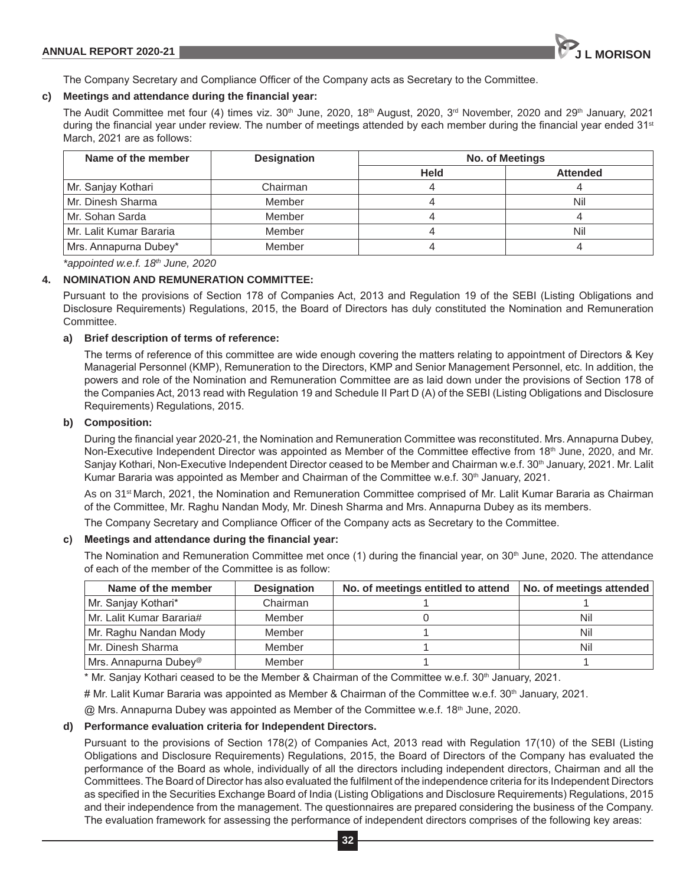

The Company Secretary and Compliance Officer of the Company acts as Secretary to the Committee.

# **c) Meetings and attendance during the financial year:**

The Audit Committee met four (4) times viz.  $30<sup>th</sup>$  June, 2020, 18<sup>th</sup> August, 2020, 3<sup>rd</sup> November, 2020 and 29<sup>th</sup> January, 2021 during the financial year under review. The number of meetings attended by each member during the financial year ended 31<sup>st</sup> March, 2021 are as follows:

| Name of the member        | <b>Designation</b><br>No. of Meetings |             |                 |
|---------------------------|---------------------------------------|-------------|-----------------|
|                           |                                       | <b>Held</b> | <b>Attended</b> |
| Mr. Sanjay Kothari        | Chairman                              |             |                 |
| Mr. Dinesh Sharma         | Member                                |             | Nil             |
| Mr. Sohan Sarda           | Member                                |             |                 |
| l Mr. Lalit Kumar Bararia | Member                                |             | Nil             |
| Mrs. Annapurna Dubey*     | Member                                |             |                 |

*\*appointed w.e.f. 18th June, 2020*

# **4. NOMINATION AND REMUNERATION COMMITTEE:**

Pursuant to the provisions of Section 178 of Companies Act, 2013 and Regulation 19 of the SEBI (Listing Obligations and Disclosure Requirements) Regulations, 2015, the Board of Directors has duly constituted the Nomination and Remuneration Committee.

# **a) Brief description of terms of reference:**

The terms of reference of this committee are wide enough covering the matters relating to appointment of Directors & Key Managerial Personnel (KMP), Remuneration to the Directors, KMP and Senior Management Personnel, etc. In addition, the powers and role of the Nomination and Remuneration Committee are as laid down under the provisions of Section 178 of the Companies Act, 2013 read with Regulation 19 and Schedule II Part D (A) of the SEBI (Listing Obligations and Disclosure Requirements) Regulations, 2015.

# **b) Composition:**

During the financial year 2020-21, the Nomination and Remuneration Committee was reconstituted. Mrs. Annapurna Dubey, Non-Executive Independent Director was appointed as Member of the Committee effective from 18<sup>th</sup> June, 2020, and Mr. Sanjay Kothari, Non-Executive Independent Director ceased to be Member and Chairman w.e.f. 30<sup>th</sup> January, 2021. Mr. Lalit Kumar Bararia was appointed as Member and Chairman of the Committee w.e.f. 30<sup>th</sup> January, 2021.

As on 31st March, 2021, the Nomination and Remuneration Committee comprised of Mr. Lalit Kumar Bararia as Chairman of the Committee, Mr. Raghu Nandan Mody, Mr. Dinesh Sharma and Mrs. Annapurna Dubey as its members.

The Company Secretary and Compliance Officer of the Company acts as Secretary to the Committee.

# **c) Meetings and attendance during the financial year:**

The Nomination and Remuneration Committee met once (1) during the financial year, on 30<sup>th</sup> June, 2020. The attendance of each of the member of the Committee is as follow:

| Name of the member                | <b>Designation</b> | No. of meetings entitled to attend | No. of meetings attended |
|-----------------------------------|--------------------|------------------------------------|--------------------------|
| Mr. Sanjay Kothari*               | Chairman           |                                    |                          |
| Mr. Lalit Kumar Bararia#          | Member             |                                    | Nil                      |
| Mr. Raghu Nandan Mody             | Member             |                                    | Nil                      |
| Mr. Dinesh Sharma                 | Member             |                                    | Nil                      |
| Mrs. Annapurna Dubey <sup>®</sup> | Member             |                                    |                          |

\* Mr. Sanjay Kothari ceased to be the Member & Chairman of the Committee w.e.f. 30<sup>th</sup> January, 2021.

# Mr. Lalit Kumar Bararia was appointed as Member & Chairman of the Committee w.e.f. 30<sup>th</sup> January, 2021.

@ Mrs. Annapurna Dubey was appointed as Member of the Committee w.e.f. 18<sup>th</sup> June, 2020.

# **d) Performance evaluation criteria for Independent Directors.**

Pursuant to the provisions of Section 178(2) of Companies Act, 2013 read with Regulation 17(10) of the SEBI (Listing Obligations and Disclosure Requirements) Regulations, 2015, the Board of Directors of the Company has evaluated the performance of the Board as whole, individually of all the directors including independent directors, Chairman and all the Committees. The Board of Director has also evaluated the fulfilment of the independence criteria for its Independent Directors as specified in the Securities Exchange Board of India (Listing Obligations and Disclosure Requirements) Regulations, 2015 and their independence from the management. The questionnaires are prepared considering the business of the Company. The evaluation framework for assessing the performance of independent directors comprises of the following key areas: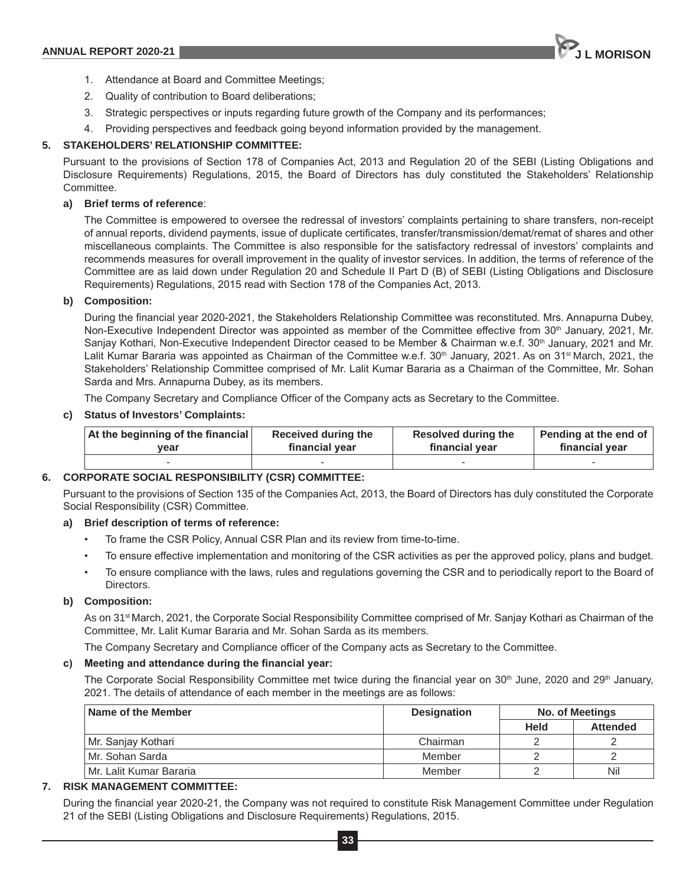

- 1. Attendance at Board and Committee Meetings;
- 2. Quality of contribution to Board deliberations;
- 3. Strategic perspectives or inputs regarding future growth of the Company and its performances;
- 4. Providing perspectives and feedback going beyond information provided by the management.

# **5. STAKEHOLDERS' RELATIONSHIP COMMITTEE:**

Pursuant to the provisions of Section 178 of Companies Act, 2013 and Regulation 20 of the SEBI (Listing Obligations and Disclosure Requirements) Regulations, 2015, the Board of Directors has duly constituted the Stakeholders' Relationship Committee.

# **a) Brief terms of reference**:

The Committee is empowered to oversee the redressal of investors' complaints pertaining to share transfers, non-receipt of annual reports, dividend payments, issue of duplicate certificates, transfer/transmission/demat/remat of shares and other miscellaneous complaints. The Committee is also responsible for the satisfactory redressal of investors' complaints and recommends measures for overall improvement in the quality of investor services. In addition, the terms of reference of the Committee are as laid down under Regulation 20 and Schedule II Part D (B) of SEBI (Listing Obligations and Disclosure Requirements) Regulations, 2015 read with Section 178 of the Companies Act, 2013.

# **b) Composition:**

During the financial year 2020-2021, the Stakeholders Relationship Committee was reconstituted. Mrs. Annapurna Dubey, Non-Executive Independent Director was appointed as member of the Committee effective from 30<sup>th</sup> January, 2021, Mr. Sanjay Kothari, Non-Executive Independent Director ceased to be Member & Chairman w.e.f. 30<sup>th</sup> January, 2021 and Mr. Lalit Kumar Bararia was appointed as Chairman of the Committee w.e.f. 30<sup>th</sup> January, 2021. As on 31<sup>st</sup> March, 2021, the Stakeholders' Relationship Committee comprised of Mr. Lalit Kumar Bararia as a Chairman of the Committee, Mr. Sohan Sarda and Mrs. Annapurna Dubey, as its members.

The Company Secretary and Compliance Officer of the Company acts as Secretary to the Committee.

# **c) Status of Investors' Complaints:**

| At the beginning of the financial | Received during the | <b>Resolved during the</b> | Pending at the end of |
|-----------------------------------|---------------------|----------------------------|-----------------------|
| vear                              | financial year      | financial year             | financial year        |
|                                   |                     |                            |                       |

# **6. CORPORATE SOCIAL RESPONSIBILITY (CSR) COMMITTEE:**

Pursuant to the provisions of Section 135 of the Companies Act, 2013, the Board of Directors has duly constituted the Corporate Social Responsibility (CSR) Committee.

# **a) Brief description of terms of reference:**

- To frame the CSR Policy, Annual CSR Plan and its review from time-to-time.
- To ensure effective implementation and monitoring of the CSR activities as per the approved policy, plans and budget.
- To ensure compliance with the laws, rules and regulations governing the CSR and to periodically report to the Board of Directors.

# **b) Composition:**

As on 31<sup>st</sup> March, 2021, the Corporate Social Responsibility Committee comprised of Mr. Sanjay Kothari as Chairman of the Committee, Mr. Lalit Kumar Bararia and Mr. Sohan Sarda as its members.

The Company Secretary and Compliance officer of the Company acts as Secretary to the Committee.

# **c) Meeting and attendance during the financial year:**

The Corporate Social Responsibility Committee met twice during the financial year on  $30<sup>th</sup>$  June, 2020 and 29<sup>th</sup> January, 2021. The details of attendance of each member in the meetings are as follows:

| Name of the Member      | <b>Designation</b> | No. of Meetings |                 |
|-------------------------|--------------------|-----------------|-----------------|
|                         |                    | Held            | <b>Attended</b> |
| Mr. Sanjay Kothari      | Chairman           |                 |                 |
| l Mr. Sohan Sarda       | Member             |                 |                 |
| Mr. Lalit Kumar Bararia | Member             |                 | Nil             |

# **7. RISK MANAGEMENT COMMITTEE:**

During the financial year 2020-21, the Company was not required to constitute Risk Management Committee under Regulation 21 of the SEBI (Listing Obligations and Disclosure Requirements) Regulations, 2015.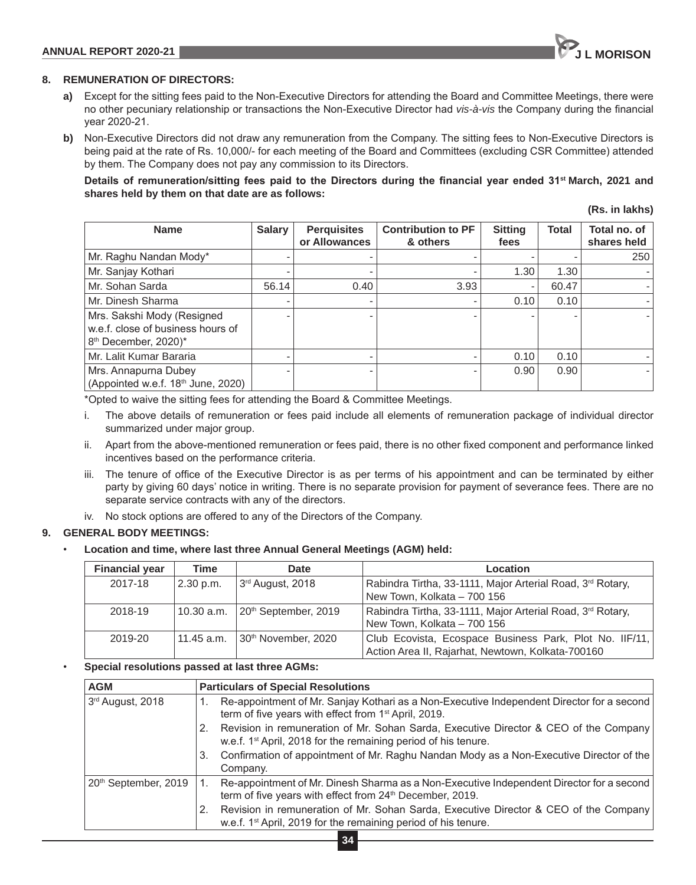# **8. REMUNERATION OF DIRECTORS:**

- **a)** Except for the sitting fees paid to the Non-Executive Directors for attending the Board and Committee Meetings, there were no other pecuniary relationship or transactions the Non-Executive Director had *vis-à-vis* the Company during the financial year 2020-21.
- **b)** Non-Executive Directors did not draw any remuneration from the Company. The sitting fees to Non-Executive Directors is being paid at the rate of Rs. 10,000/- for each meeting of the Board and Committees (excluding CSR Committee) attended by them. The Company does not pay any commission to its Directors.

# **Details of remuneration/sitting fees paid to the Directors during the financial year ended 31st March, 2021 and shares held by them on that date are as follows:**

**(Rs. in lakhs)**

| <b>Name</b>                                                                                         | <b>Salary</b> | <b>Perquisites</b><br>or Allowances | <b>Contribution to PF</b><br>& others | <b>Sitting</b><br>fees | <b>Total</b> | Total no. of<br>shares held |
|-----------------------------------------------------------------------------------------------------|---------------|-------------------------------------|---------------------------------------|------------------------|--------------|-----------------------------|
| Mr. Raghu Nandan Mody*                                                                              |               |                                     |                                       |                        |              | 250                         |
| Mr. Sanjay Kothari                                                                                  |               |                                     |                                       | 1.30                   | 1.30         |                             |
| Mr. Sohan Sarda                                                                                     | 56.14         | 0.40                                | 3.93                                  |                        | 60.47        |                             |
| Mr. Dinesh Sharma                                                                                   |               |                                     |                                       | 0.10                   | 0.10         |                             |
| Mrs. Sakshi Mody (Resigned<br>w.e.f. close of business hours of<br>8 <sup>th</sup> December, 2020)* |               |                                     |                                       |                        |              |                             |
| Mr. Lalit Kumar Bararia                                                                             |               |                                     |                                       | 0.10                   | 0.10         |                             |
| Mrs. Annapurna Dubey<br>(Appointed w.e.f. 18 <sup>th</sup> June, 2020)                              |               |                                     |                                       | 0.90                   | 0.90         |                             |

\*Opted to waive the sitting fees for attending the Board & Committee Meetings.

- i. The above details of remuneration or fees paid include all elements of remuneration package of individual director summarized under major group.
- ii. Apart from the above-mentioned remuneration or fees paid, there is no other fixed component and performance linked incentives based on the performance criteria.
- iii. The tenure of office of the Executive Director is as per terms of his appointment and can be terminated by either party by giving 60 days' notice in writing. There is no separate provision for payment of severance fees. There are no separate service contracts with any of the directors.
- iv. No stock options are offered to any of the Directors of the Company.

# **9. GENERAL BODY MEETINGS:**

# • **Location and time, where last three Annual General Meetings (AGM) held:**

| <b>Financial year</b> | Time       | Date                                        | Location                                                   |
|-----------------------|------------|---------------------------------------------|------------------------------------------------------------|
| 2017-18               | 2.30 p.m.  | ∣ 3 <sup>rd</sup> August, 2018              | Rabindra Tirtha, 33-1111, Major Arterial Road, 3rd Rotary, |
|                       |            |                                             | New Town, Kolkata - 700 156                                |
| 2018-19               |            | 10.30 a.m. 20 <sup>th</sup> September, 2019 | Rabindra Tirtha, 33-1111, Major Arterial Road, 3rd Rotary, |
|                       |            |                                             | New Town, Kolkata - 700 156                                |
| 2019-20               | 11.45 a.m. | 30th November, 2020                         | Club Ecovista, Ecospace Business Park, Plot No. IIF/11,    |
|                       |            |                                             | Action Area II, Rajarhat, Newtown, Kolkata-700160          |

# • **Special resolutions passed at last three AGMs:**

| <b>AGM</b>                       | <b>Particulars of Special Resolutions</b>                                                                                                                                |
|----------------------------------|--------------------------------------------------------------------------------------------------------------------------------------------------------------------------|
| 3rd August, 2018                 | Re-appointment of Mr. Sanjay Kothari as a Non-Executive Independent Director for a second<br>term of five years with effect from 1 <sup>st</sup> April, 2019.            |
|                                  | Revision in remuneration of Mr. Sohan Sarda, Executive Director & CEO of the Company<br>2.<br>w.e.f. 1 <sup>st</sup> April, 2018 for the remaining period of his tenure. |
|                                  | Confirmation of appointment of Mr. Raghu Nandan Mody as a Non-Executive Director of the<br>3.<br>Company.                                                                |
| 20 <sup>th</sup> September, 2019 | Re-appointment of Mr. Dinesh Sharma as a Non-Executive Independent Director for a second<br>term of five years with effect from 24 <sup>th</sup> December, 2019.         |
|                                  | Revision in remuneration of Mr. Sohan Sarda, Executive Director & CEO of the Company<br>2.<br>w.e.f. 1 <sup>st</sup> April, 2019 for the remaining period of his tenure. |
|                                  |                                                                                                                                                                          |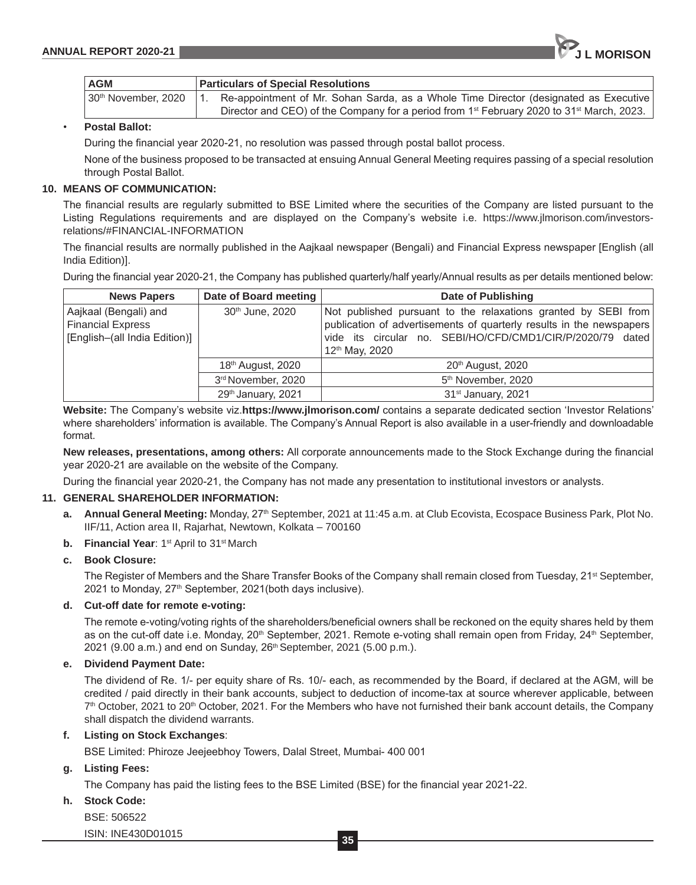| <b>AGM</b>          |             | <b>Particulars of Special Resolutions</b>                                                                         |
|---------------------|-------------|-------------------------------------------------------------------------------------------------------------------|
| 30th November, 2020 | $1_{\cdot}$ | Re-appointment of Mr. Sohan Sarda, as a Whole Time Director (designated as Executive                              |
|                     |             | Director and CEO) of the Company for a period from 1 <sup>st</sup> February 2020 to 31 <sup>st</sup> March, 2023. |

# • **Postal Ballot:**

During the financial year 2020-21, no resolution was passed through postal ballot process.

None of the business proposed to be transacted at ensuing Annual General Meeting requires passing of a special resolution through Postal Ballot.

#### **10. MEANS OF COMMUNICATION:**

The financial results are regularly submitted to BSE Limited where the securities of the Company are listed pursuant to the Listing Regulations requirements and are displayed on the Company's website i.e. https://www.jlmorison.com/investorsrelations/#FINANCIAL-INFORMATION

The financial results are normally published in the Aajkaal newspaper (Bengali) and Financial Express newspaper [English (all India Edition)].

During the financial year 2020-21, the Company has published quarterly/half yearly/Annual results as per details mentioned below:

| <b>News Papers</b>                                                                 | Date of Board meeting         | Date of Publishing                                                                                                                                                                                                                 |  |
|------------------------------------------------------------------------------------|-------------------------------|------------------------------------------------------------------------------------------------------------------------------------------------------------------------------------------------------------------------------------|--|
| Aajkaal (Bengali) and<br><b>Financial Express</b><br>[English-(all India Edition)] | 30 <sup>th</sup> June, 2020   | Not published pursuant to the relaxations granted by SEBI from<br>publication of advertisements of quarterly results in the newspapers<br>vide its circular no. SEBI/HO/CFD/CMD1/CIR/P/2020/79 dated<br>12 <sup>th</sup> May, 2020 |  |
|                                                                                    | 18 <sup>th</sup> August, 2020 | 20 <sup>th</sup> August, 2020                                                                                                                                                                                                      |  |
|                                                                                    | 3rd November, 2020            | 5 <sup>th</sup> November, 2020                                                                                                                                                                                                     |  |
|                                                                                    | 29th January, 2021            | 31 <sup>st</sup> January, 2021                                                                                                                                                                                                     |  |

**Website:** The Company's website viz.**https://www.jlmorison.com/** contains a separate dedicated section 'Investor Relations' where shareholders' information is available. The Company's Annual Report is also available in a user-friendly and downloadable format.

**New releases, presentations, among others:** All corporate announcements made to the Stock Exchange during the financial year 2020-21 are available on the website of the Company.

During the financial year 2020-21, the Company has not made any presentation to institutional investors or analysts.

# **11. GENERAL SHAREHOLDER INFORMATION:**

- a. Annual General Meeting: Monday, 27<sup>th</sup> September, 2021 at 11:45 a.m. at Club Ecovista, Ecospace Business Park, Plot No. IIF/11, Action area II, Rajarhat, Newtown, Kolkata – 700160
- **b.** Financial Year: 1<sup>st</sup> April to 31<sup>st</sup> March

# **c. Book Closure:**

The Register of Members and the Share Transfer Books of the Company shall remain closed from Tuesday, 21<sup>st</sup> September, 2021 to Monday, 27<sup>th</sup> September, 2021(both days inclusive).

# **d. Cut-off date for remote e-voting:**

The remote e-voting/voting rights of the shareholders/beneficial owners shall be reckoned on the equity shares held by them as on the cut-off date i.e. Monday, 20<sup>th</sup> September, 2021. Remote e-voting shall remain open from Friday, 24<sup>th</sup> September, 2021 (9.00 a.m.) and end on Sunday, 26<sup>th</sup> September, 2021 (5.00 p.m.).

# **e. Dividend Payment Date:**

The dividend of Re. 1/- per equity share of Rs. 10/- each, as recommended by the Board, if declared at the AGM, will be credited / paid directly in their bank accounts, subject to deduction of income-tax at source wherever applicable, between  $7<sup>th</sup>$  October, 2021 to 20<sup>th</sup> October, 2021. For the Members who have not furnished their bank account details, the Company shall dispatch the dividend warrants.

## **f. Listing on Stock Exchanges**:

BSE Limited: Phiroze Jeejeebhoy Towers, Dalal Street, Mumbai- 400 001

# **g. Listing Fees:**

The Company has paid the listing fees to the BSE Limited (BSE) for the financial year 2021-22.

# **h. Stock Code:**

BSE: 506522

ISIN: INE430D01015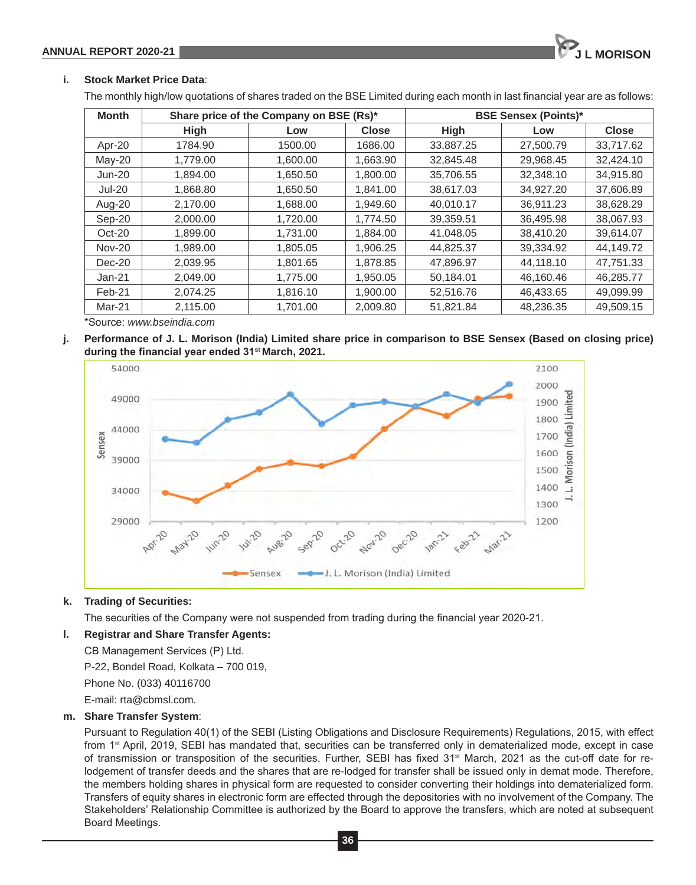# **i. Stock Market Price Data**:

The monthly high/low quotations of shares traded on the BSE Limited during each month in last financial year are as follows:

| <b>Month</b>  | Share price of the Company on BSE (Rs)* |          |              | <b>BSE Sensex (Points)*</b> |           |              |
|---------------|-----------------------------------------|----------|--------------|-----------------------------|-----------|--------------|
|               | <b>High</b>                             | Low      | <b>Close</b> | <b>High</b>                 | Low       | <b>Close</b> |
| Apr-20        | 1784.90                                 | 1500.00  | 1686.00      | 33,887.25                   | 27,500.79 | 33,717.62    |
| $Mav-20$      | 1.779.00                                | 1.600.00 | 1,663.90     | 32,845.48                   | 29.968.45 | 32.424.10    |
| $Jun-20$      | 1.894.00                                | 1.650.50 | 1.800.00     | 35.706.55                   | 32,348.10 | 34.915.80    |
| <b>Jul-20</b> | 1.868.80                                | 1,650.50 | 1,841.00     | 38,617.03                   | 34.927.20 | 37,606.89    |
| Aug-20        | 2,170.00                                | 1,688.00 | 1,949.60     | 40,010.17                   | 36,911.23 | 38,628.29    |
| Sep-20        | 2.000.00                                | 1.720.00 | 1.774.50     | 39.359.51                   | 36.495.98 | 38.067.93    |
| $Oct-20$      | 1.899.00                                | 1,731.00 | 1,884.00     | 41,048.05                   | 38,410.20 | 39.614.07    |
| <b>Nov-20</b> | 1.989.00                                | 1,805.05 | 1,906.25     | 44,825.37                   | 39,334.92 | 44,149.72    |
| Dec-20        | 2.039.95                                | 1,801.65 | 1,878.85     | 47,896.97                   | 44,118.10 | 47,751.33    |
| $Jan-21$      | 2.049.00                                | 1,775.00 | 1,950.05     | 50,184.01                   | 46,160.46 | 46,285.77    |
| Feb-21        | 2,074.25                                | 1,816.10 | 1,900.00     | 52,516.76                   | 46,433.65 | 49,099.99    |
| Mar-21        | 2,115.00                                | 1,701.00 | 2,009.80     | 51,821.84                   | 48,236.35 | 49,509.15    |

\*Source: *www.bseindia.com*

**j. Performance of J. L. Morison (India) Limited share price in comparison to BSE Sensex (Based on closing price) during the financial year ended 31st March, 2021.**



# **k. Trading of Securities:**

The securities of the Company were not suspended from trading during the financial year 2020-21.

# **l. Registrar and Share Transfer Agents:**

CB Management Services (P) Ltd.

P-22, Bondel Road, Kolkata – 700 019,

Phone No. (033) 40116700

E-mail: rta@cbmsl.com.

# **m. Share Transfer System**:

Pursuant to Regulation 40(1) of the SEBI (Listing Obligations and Disclosure Requirements) Regulations, 2015, with effect from 1st April, 2019, SEBI has mandated that, securities can be transferred only in dematerialized mode, except in case of transmission or transposition of the securities. Further, SEBI has fixed 31<sup>st</sup> March, 2021 as the cut-off date for relodgement of transfer deeds and the shares that are re-lodged for transfer shall be issued only in demat mode. Therefore, the members holding shares in physical form are requested to consider converting their holdings into dematerialized form. Transfers of equity shares in electronic form are effected through the depositories with no involvement of the Company. The Stakeholders' Relationship Committee is authorized by the Board to approve the transfers, which are noted at subsequent Board Meetings.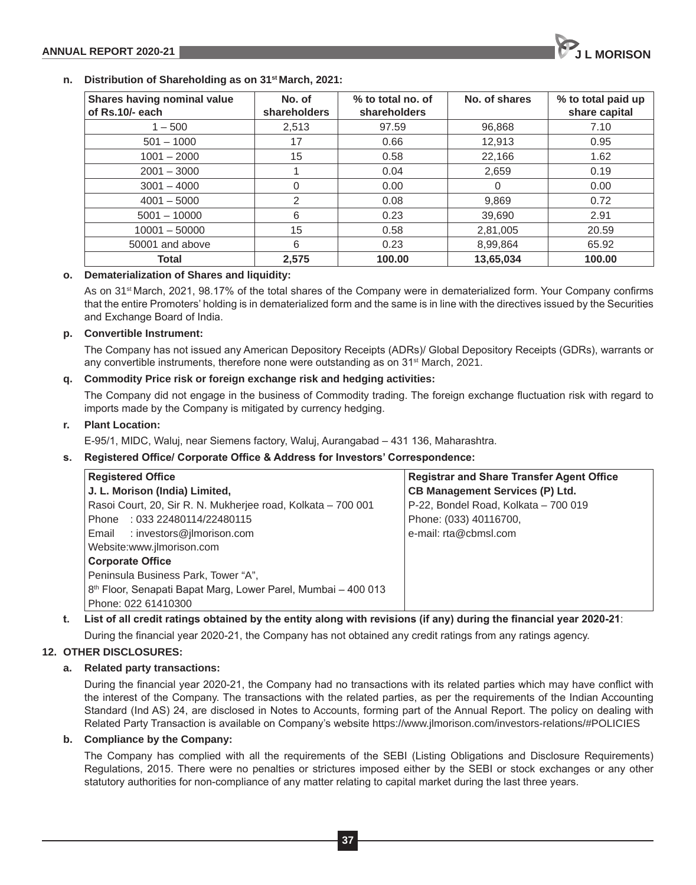

#### **n. Distribution of Shareholding as on 31st March, 2021:**

| Shares having nominal value<br>of Rs.10/- each | No. of<br>shareholders | % to total no. of<br>shareholders | No. of shares | % to total paid up<br>share capital |
|------------------------------------------------|------------------------|-----------------------------------|---------------|-------------------------------------|
| $1 - 500$                                      | 2,513                  | 97.59                             | 96,868        | 7.10                                |
| $501 - 1000$                                   | 17                     | 0.66                              | 12,913        | 0.95                                |
| $1001 - 2000$                                  | 15                     | 0.58                              | 22,166        | 1.62                                |
| $2001 - 3000$                                  |                        | 0.04                              | 2,659         | 0.19                                |
| $3001 - 4000$                                  | 0                      | 0.00                              | 0             | 0.00                                |
| $4001 - 5000$                                  | 2                      | 0.08                              | 9.869         | 0.72                                |
| $5001 - 10000$                                 | 6                      | 0.23                              | 39.690        | 2.91                                |
| $10001 - 50000$                                | 15                     | 0.58                              | 2,81,005      | 20.59                               |
| 50001 and above                                | 6                      | 0.23                              | 8,99,864      | 65.92                               |
| Total                                          | 2,575                  | 100.00                            | 13,65,034     | 100.00                              |

# **o. Dematerialization of Shares and liquidity:**

As on 31st March, 2021, 98.17% of the total shares of the Company were in dematerialized form. Your Company confirms that the entire Promoters' holding is in dematerialized form and the same is in line with the directives issued by the Securities and Exchange Board of India.

# **p. Convertible Instrument:**

The Company has not issued any American Depository Receipts (ADRs)/ Global Depository Receipts (GDRs), warrants or any convertible instruments, therefore none were outstanding as on 31<sup>st</sup> March, 2021.

# **q. Commodity Price risk or foreign exchange risk and hedging activities:**

The Company did not engage in the business of Commodity trading. The foreign exchange fluctuation risk with regard to imports made by the Company is mitigated by currency hedging.

# **r. Plant Location:**

E-95/1, MIDC, Waluj, near Siemens factory, Waluj, Aurangabad – 431 136, Maharashtra.

# **s. Registered Office/ Corporate Office & Address for Investors' Correspondence:**

| <b>Registered Office</b>                                                  | <b>Registrar and Share Transfer Agent Office</b> |  |
|---------------------------------------------------------------------------|--------------------------------------------------|--|
| J. L. Morison (India) Limited,                                            | <b>CB Management Services (P) Ltd.</b>           |  |
| Rasoi Court, 20, Sir R. N. Mukherjee road, Kolkata - 700 001              | P-22, Bondel Road, Kolkata - 700 019             |  |
| Phone: 033 22480114/22480115                                              | Phone: (033) 40116700,                           |  |
| Email : investors@jlmorison.com                                           | e-mail: rta@cbmsl.com                            |  |
| Website:www.jlmorison.com                                                 |                                                  |  |
| <b>Corporate Office</b>                                                   |                                                  |  |
| Peninsula Business Park, Tower "A",                                       |                                                  |  |
| 8 <sup>th</sup> Floor, Senapati Bapat Marg, Lower Parel, Mumbai - 400 013 |                                                  |  |
| Phone: 022 61410300                                                       |                                                  |  |

# **t. List of all credit ratings obtained by the entity along with revisions (if any) during the financial year 2020-21**:

During the financial year 2020-21, the Company has not obtained any credit ratings from any ratings agency.

# **12. OTHER DISCLOSURES:**

# **a. Related party transactions:**

During the financial year 2020-21, the Company had no transactions with its related parties which may have conflict with the interest of the Company. The transactions with the related parties, as per the requirements of the Indian Accounting Standard (Ind AS) 24, are disclosed in Notes to Accounts, forming part of the Annual Report. The policy on dealing with Related Party Transaction is available on Company's website https://www.jlmorison.com/investors-relations/#POLICIES

# **b. Compliance by the Company:**

The Company has complied with all the requirements of the SEBI (Listing Obligations and Disclosure Requirements) Regulations, 2015. There were no penalties or strictures imposed either by the SEBI or stock exchanges or any other statutory authorities for non-compliance of any matter relating to capital market during the last three years.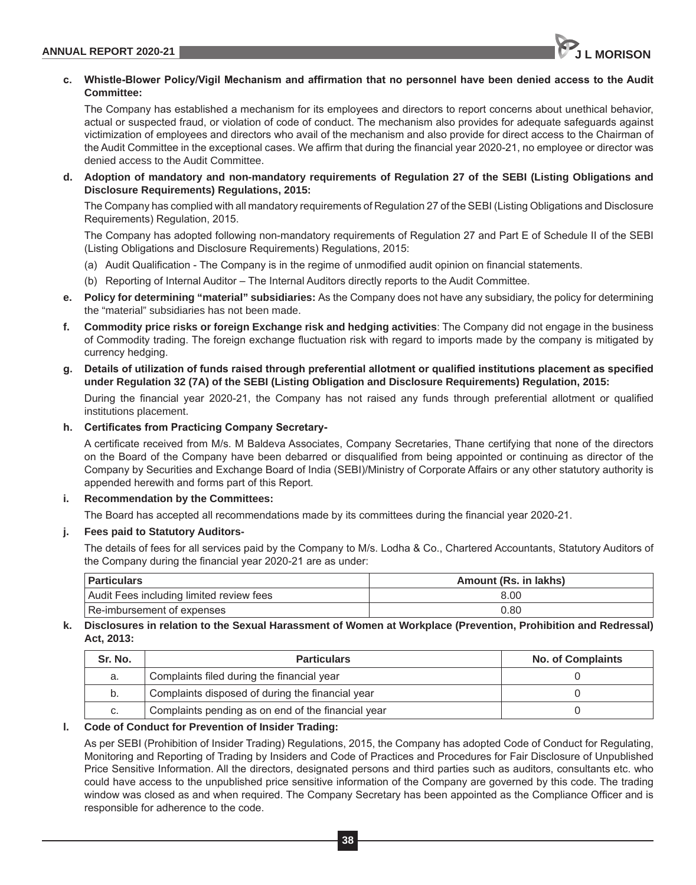

# **c. Whistle-Blower Policy/Vigil Mechanism and affirmation that no personnel have been denied access to the Audit Committee:**

The Company has established a mechanism for its employees and directors to report concerns about unethical behavior, actual or suspected fraud, or violation of code of conduct. The mechanism also provides for adequate safeguards against victimization of employees and directors who avail of the mechanism and also provide for direct access to the Chairman of the Audit Committee in the exceptional cases. We affirm that during the financial year 2020-21, no employee or director was denied access to the Audit Committee.

**d. Adoption of mandatory and non-mandatory requirements of Regulation 27 of the SEBI (Listing Obligations and Disclosure Requirements) Regulations, 2015:**

The Company has complied with all mandatory requirements of Regulation 27 of the SEBI (Listing Obligations and Disclosure Requirements) Regulation, 2015.

The Company has adopted following non-mandatory requirements of Regulation 27 and Part E of Schedule II of the SEBI (Listing Obligations and Disclosure Requirements) Regulations, 2015:

- (a) Audit Qualification The Company is in the regime of unmodified audit opinion on financial statements.
- (b) Reporting of Internal Auditor The Internal Auditors directly reports to the Audit Committee.
- **e. Policy for determining "material" subsidiaries:** As the Company does not have any subsidiary, the policy for determining the "material" subsidiaries has not been made.
- **f. Commodity price risks or foreign Exchange risk and hedging activities**: The Company did not engage in the business of Commodity trading. The foreign exchange fluctuation risk with regard to imports made by the company is mitigated by currency hedging.
- **g. Details of utilization of funds raised through preferential allotment or qualified institutions placement as specified under Regulation 32 (7A) of the SEBI (Listing Obligation and Disclosure Requirements) Regulation, 2015:**

During the financial year 2020-21, the Company has not raised any funds through preferential allotment or qualified institutions placement.

# **h. Certificates from Practicing Company Secretary-**

A certificate received from M/s. M Baldeva Associates, Company Secretaries, Thane certifying that none of the directors on the Board of the Company have been debarred or disqualified from being appointed or continuing as director of the Company by Securities and Exchange Board of India (SEBI)/Ministry of Corporate Affairs or any other statutory authority is appended herewith and forms part of this Report.

# **i. Recommendation by the Committees:**

The Board has accepted all recommendations made by its committees during the financial year 2020-21.

# **j. Fees paid to Statutory Auditors-**

The details of fees for all services paid by the Company to M/s. Lodha & Co., Chartered Accountants, Statutory Auditors of the Company during the financial year 2020-21 are as under:

| Particulars                              | Amount (Rs. in lakhs) |  |
|------------------------------------------|-----------------------|--|
| Audit Fees including limited review fees | 8.00                  |  |
| Re-imbursement of expenses               | 0.80                  |  |

# **k. Disclosures in relation to the Sexual Harassment of Women at Workplace (Prevention, Prohibition and Redressal) Act, 2013:**

| Sr. No. | <b>Particulars</b>                                 | <b>No. of Complaints</b> |
|---------|----------------------------------------------------|--------------------------|
| a.      | Complaints filed during the financial year         |                          |
| b.      | Complaints disposed of during the financial year   |                          |
| C.      | Complaints pending as on end of the financial year |                          |

# **l. Code of Conduct for Prevention of Insider Trading:**

As per SEBI (Prohibition of Insider Trading) Regulations, 2015, the Company has adopted Code of Conduct for Regulating, Monitoring and Reporting of Trading by Insiders and Code of Practices and Procedures for Fair Disclosure of Unpublished Price Sensitive Information. All the directors, designated persons and third parties such as auditors, consultants etc. who could have access to the unpublished price sensitive information of the Company are governed by this code. The trading window was closed as and when required. The Company Secretary has been appointed as the Compliance Officer and is responsible for adherence to the code.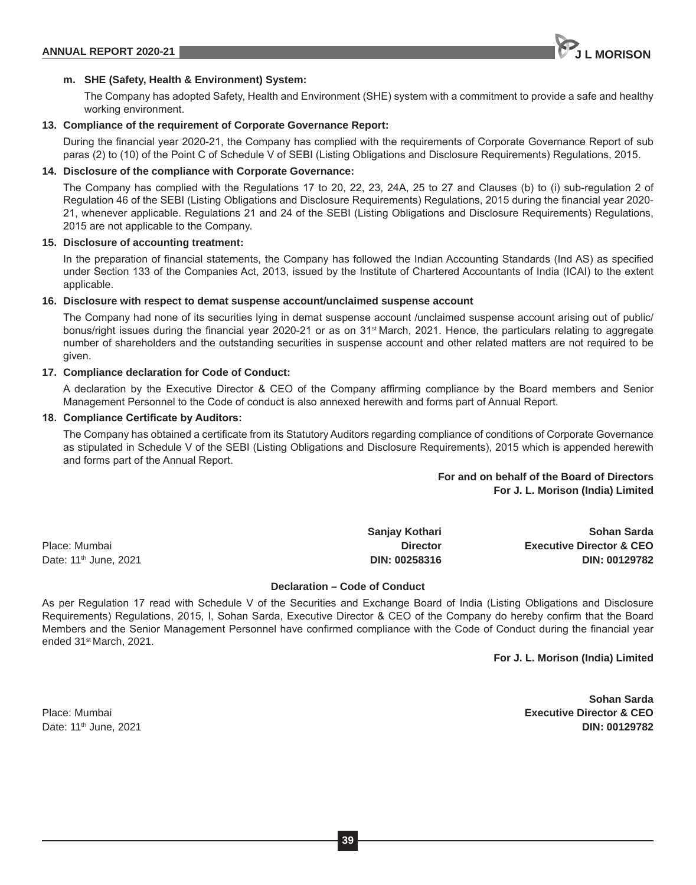# **m. SHE (Safety, Health & Environment) System:**

The Company has adopted Safety, Health and Environment (SHE) system with a commitment to provide a safe and healthy working environment.

# **13. Compliance of the requirement of Corporate Governance Report:**

During the financial year 2020-21, the Company has complied with the requirements of Corporate Governance Report of sub paras (2) to (10) of the Point C of Schedule V of SEBI (Listing Obligations and Disclosure Requirements) Regulations, 2015.

# **14. Disclosure of the compliance with Corporate Governance:**

The Company has complied with the Regulations 17 to 20, 22, 23, 24A, 25 to 27 and Clauses (b) to (i) sub-regulation 2 of Regulation 46 of the SEBI (Listing Obligations and Disclosure Requirements) Regulations, 2015 during the financial year 2020- 21, whenever applicable. Regulations 21 and 24 of the SEBI (Listing Obligations and Disclosure Requirements) Regulations, 2015 are not applicable to the Company.

# **15. Disclosure of accounting treatment:**

In the preparation of financial statements, the Company has followed the Indian Accounting Standards (Ind AS) as specified under Section 133 of the Companies Act, 2013, issued by the Institute of Chartered Accountants of India (ICAI) to the extent applicable.

# **16. Disclosure with respect to demat suspense account/unclaimed suspense account**

The Company had none of its securities lying in demat suspense account /unclaimed suspense account arising out of public/ bonus/right issues during the financial year 2020-21 or as on 31st March, 2021. Hence, the particulars relating to aggregate number of shareholders and the outstanding securities in suspense account and other related matters are not required to be given.

#### **17. Compliance declaration for Code of Conduct:**

A declaration by the Executive Director & CEO of the Company affirming compliance by the Board members and Senior Management Personnel to the Code of conduct is also annexed herewith and forms part of Annual Report.

#### **18. Compliance Certificate by Auditors:**

The Company has obtained a certificate from its Statutory Auditors regarding compliance of conditions of Corporate Governance as stipulated in Schedule V of the SEBI (Listing Obligations and Disclosure Requirements), 2015 which is appended herewith and forms part of the Annual Report.

# **For and on behalf of the Board of Directors For J. L. Morison (India) Limited**

**Sanjay Kothari Sohan Sarda** Place: Mumbai **Director Executive Director & CEO** Date: 11th June, 2021 **DIN: 00258316 DIN: 00129782**

#### **Declaration – Code of Conduct**

As per Regulation 17 read with Schedule V of the Securities and Exchange Board of India (Listing Obligations and Disclosure Requirements) Regulations, 2015, I, Sohan Sarda, Executive Director & CEO of the Company do hereby confirm that the Board Members and the Senior Management Personnel have confirmed compliance with the Code of Conduct during the financial year ended 31st March, 2021.

**For J. L. Morison (India) Limited**

 **Sohan Sarda** Place: Mumbai **Executive Director & CEO** Date: 11th June, 2021 **DIN: 00129782**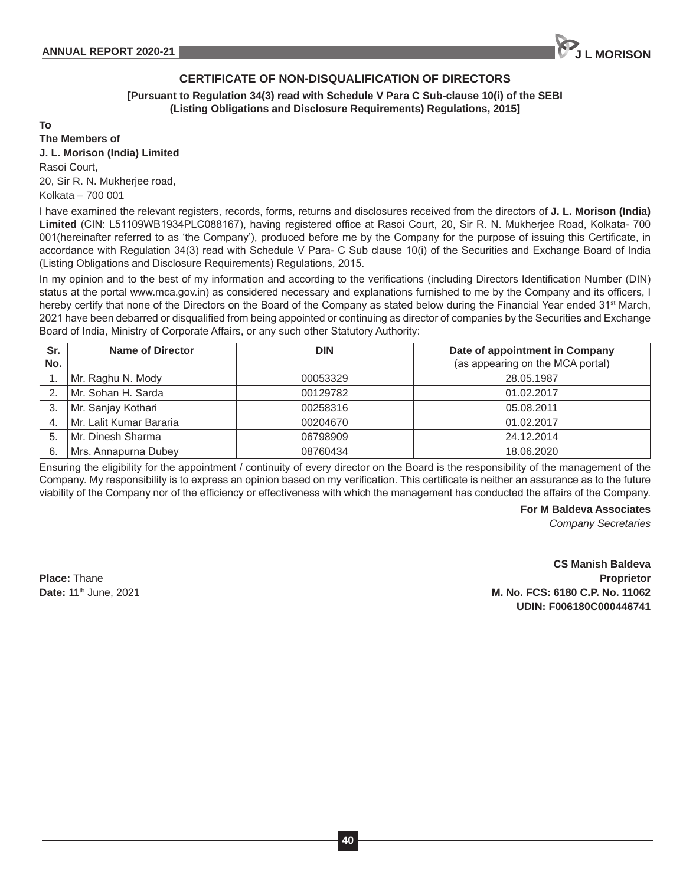# **CERTIFICATE OF NON-DISQUALIFICATION OF DIRECTORS**

**[Pursuant to Regulation 34(3) read with Schedule V Para C Sub-clause 10(i) of the SEBI (Listing Obligations and Disclosure Requirements) Regulations, 2015]**

**To**

**The Members of**

**J. L. Morison (India) Limited** Rasoi Court, 20, Sir R. N. Mukherjee road, Kolkata – 700 001

I have examined the relevant registers, records, forms, returns and disclosures received from the directors of **J. L. Morison (India) Limited** (CIN: L51109WB1934PLC088167), having registered office at Rasoi Court, 20, Sir R. N. Mukherjee Road, Kolkata- 700 001(hereinafter referred to as 'the Company'), produced before me by the Company for the purpose of issuing this Certificate, in accordance with Regulation 34(3) read with Schedule V Para- C Sub clause 10(i) of the Securities and Exchange Board of India (Listing Obligations and Disclosure Requirements) Regulations, 2015.

In my opinion and to the best of my information and according to the verifications (including Directors Identification Number (DIN) status at the portal www.mca.gov.in) as considered necessary and explanations furnished to me by the Company and its officers, I hereby certify that none of the Directors on the Board of the Company as stated below during the Financial Year ended 31<sup>st</sup> March, 2021 have been debarred or disqualified from being appointed or continuing as director of companies by the Securities and Exchange Board of India, Ministry of Corporate Affairs, or any such other Statutory Authority:

| Sr.<br>No. | Name of Director        | <b>DIN</b> | Date of appointment in Company<br>(as appearing on the MCA portal) |
|------------|-------------------------|------------|--------------------------------------------------------------------|
|            | Mr. Raghu N. Mody       | 00053329   | 28.05.1987                                                         |
| 2.         | Mr. Sohan H. Sarda      | 00129782   | 01.02.2017                                                         |
| 3.         | Mr. Sanjay Kothari      | 00258316   | 05.08.2011                                                         |
| 4.         | Mr. Lalit Kumar Bararia | 00204670   | 01.02.2017                                                         |
| 5.         | Mr. Dinesh Sharma       | 06798909   | 24.12.2014                                                         |
| 6.         | Mrs. Annapurna Dubey    | 08760434   | 18.06.2020                                                         |

Ensuring the eligibility for the appointment / continuity of every director on the Board is the responsibility of the management of the Company. My responsibility is to express an opinion based on my verification. This certificate is neither an assurance as to the future viability of the Company nor of the efficiency or effectiveness with which the management has conducted the affairs of the Company.

**For M Baldeva Associates**

*Company Secretaries*

**CS Manish Baldeva Place:** Thane **Proprietor Date:** 11th June, 2021 **M. No. FCS: 6180 C.P. No. 11062 UDIN: F006180C000446741**